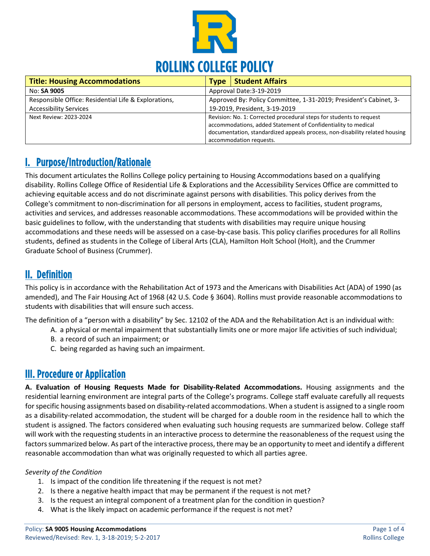

| <b>Title: Housing Accommodations</b>                 | <b>Type</b>                                                         | <b>Student Affairs</b>                                                      |
|------------------------------------------------------|---------------------------------------------------------------------|-----------------------------------------------------------------------------|
| No: SA 9005                                          | Approval Date: 3-19-2019                                            |                                                                             |
| Responsible Office: Residential Life & Explorations, | Approved By: Policy Committee, 1-31-2019; President's Cabinet, 3-   |                                                                             |
| <b>Accessibility Services</b>                        | 19-2019, President, 3-19-2019                                       |                                                                             |
| Next Review: 2023-2024                               | Revision: No. 1: Corrected procedural steps for students to request |                                                                             |
|                                                      |                                                                     | accommodations, added Statement of Confidentiality to medical               |
|                                                      |                                                                     | documentation, standardized appeals process, non-disability related housing |
|                                                      |                                                                     | accommodation requests.                                                     |

# I. Purpose/Introduction/Rationale

This document articulates the Rollins College policy pertaining to Housing Accommodations based on a qualifying disability. Rollins College Office of Residential Life & Explorations and the Accessibility Services Office are committed to achieving equitable access and do not discriminate against persons with disabilities. This policy derives from the College's commitment to non-discrimination for all persons in employment, access to facilities, student programs, activities and services, and addresses reasonable accommodations. These accommodations will be provided within the basic guidelines to follow, with the understanding that students with disabilities may require unique housing accommodations and these needs will be assessed on a case-by-case basis. This policy clarifies procedures for all Rollins students, defined as students in the College of Liberal Arts (CLA), Hamilton Holt School (Holt), and the Crummer Graduate School of Business (Crummer).

### II. Definition

This policy is in accordance with the Rehabilitation Act of 1973 and the Americans with Disabilities Act (ADA) of 1990 (as amended), and The Fair Housing Act of 1968 (42 U.S. Code § 3604). Rollins must provide reasonable accommodations to students with disabilities that will ensure such access.

The definition of a "person with a disability" by Sec. 12102 of the ADA and the Rehabilitation Act is an individual with:

- A. a physical or mental impairment that substantially limits one or more major life activities of such individual;
- B. a record of such an impairment; or
- C. being regarded as having such an impairment.

### III. Procedure or Application

**A. Evaluation of Housing Requests Made for Disability-Related Accommodations.** Housing assignments and the residential learning environment are integral parts of the College's programs. College staff evaluate carefully all requests for specific housing assignments based on disability-related accommodations. When a student is assigned to a single room as a disability-related accommodation, the student will be charged for a double room in the residence hall to which the student is assigned. The factors considered when evaluating such housing requests are summarized below. College staff will work with the requesting students in an interactive process to determine the reasonableness of the request using the factors summarized below. As part of the interactive process, there may be an opportunity to meet and identify a different reasonable accommodation than what was originally requested to which all parties agree.

### *Severity of the Condition*

- 1. Is impact of the condition life threatening if the request is not met?
- 2. Is there a negative health impact that may be permanent if the request is not met?
- 3. Is the request an integral component of a treatment plan for the condition in question?
- 4. What is the likely impact on academic performance if the request is not met?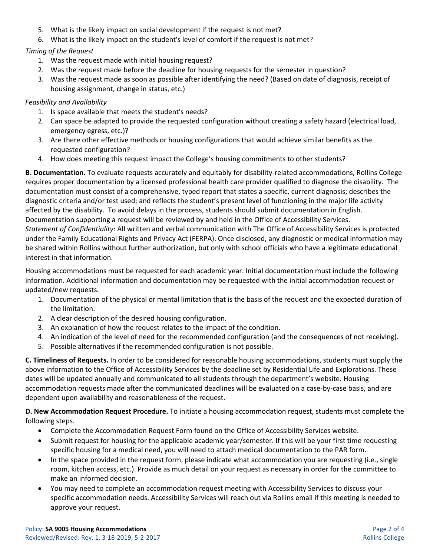- 5. What is the likely impact on social development if the request is not met?
- 6. What is the likely impact on the student's level of comfort if the request is not met?

#### *Timing of the Request*

- 1. Was the request made with initial housing request?
- 2. Was the request made before the deadline for housing requests for the semester in question?
- 3. Was the request made as soon as possible after identifying the need? (Based on date of diagnosis, receipt of housing assignment, change in status, etc.)

#### *Feasibility and Availability*

- 1. Is space available that meets the student's needs?
- 2. Can space be adapted to provide the requested configuration without creating a safety hazard (electrical load, emergency egress, etc.)?
- 3. Are there other effective methods or housing configurations that would achieve similar benefits as the requested configuration?
- 4. How does meeting this request impact the College's housing commitments to other students?

**B. Documentation.** To evaluate requests accurately and equitably for disability-related accommodations, Rollins College requires proper documentation by a licensed professional health care provider qualified to diagnose the disability. The documentation must consist of a comprehensive, typed report that states a specific, current diagnosis; describes the diagnostic criteria and/or test used; and reflects the student's present level of functioning in the major life activity affected by the disability. To avoid delays in the process, students should submit documentation in English. Documentation supporting a request will be reviewed by and held in the Office of Accessibility Services. *Statement of Confidentiality*: All written and verbal communication with The Office of Accessibility Services is protected under the Family Educational Rights and Privacy Act (FERPA). Once disclosed, any diagnostic or medical information may be shared within Rollins without further authorization, but only with school officials who have a legitimate educational interest in that information.

Housing accommodations must be requested for each academic year. Initial documentation must include the following information. Additional information and documentation may be requested with the initial accommodation request or updated/new requests.

- 1. Documentation of the physical or mental limitation that is the basis of the request and the expected duration of the limitation.
- 2. A clear description of the desired housing configuration.
- 3. An explanation of how the request relates to the impact of the condition.
- 4. An indication of the level of need for the recommended configuration (and the consequences of not receiving).
- 5. Possible alternatives if the recommended configuration is not possible.

**C. Timeliness of Requests.** In order to be considered for reasonable housing accommodations, students must supply the above information to the Office of Accessibility Services by the deadline set by Residential Life and Explorations. These dates will be updated annually and communicated to all students through the department's website. Housing accommodation requests made after the communicated deadlines will be evaluated on a case-by-case basis, and are dependent upon availability and reasonableness of the request.

**D. New Accommodation Request Procedure.** To initiate a housing accommodation request, students must complete the following steps.

- Complete the Accommodation Request Form found on the Office of Accessibility Services website.
- Submit request for housing for the applicable academic year/semester. If this will be your first time requesting specific housing for a medical need, you will need to attach medical documentation to the PAR form.
- In the space provided in the request form, please indicate what accommodation you are requesting (i.e., single room, kitchen access, etc.). Provide as much detail on your request as necessary in order for the committee to make an informed decision.
- You may need to complete an accommodation request meeting with Accessibility Services to discuss your specific accommodation needs. Accessibility Services will reach out via Rollins email if this meeting is needed to approve your request.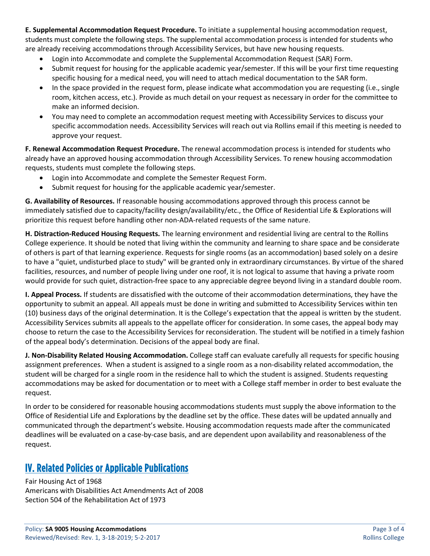**E. Supplemental Accommodation Request Procedure.** To initiate a supplemental housing accommodation request, students must complete the following steps. The supplemental accommodation process is intended for students who are already receiving accommodations through Accessibility Services, but have new housing requests.

- Login into Accommodate and complete the Supplemental Accommodation Request (SAR) Form.
- Submit request for housing for the applicable academic year/semester. If this will be your first time requesting specific housing for a medical need, you will need to attach medical documentation to the SAR form.
- In the space provided in the request form, please indicate what accommodation you are requesting (i.e., single room, kitchen access, etc.). Provide as much detail on your request as necessary in order for the committee to make an informed decision.
- You may need to complete an accommodation request meeting with Accessibility Services to discuss your specific accommodation needs. Accessibility Services will reach out via Rollins email if this meeting is needed to approve your request.

**F. Renewal Accommodation Request Procedure.** The renewal accommodation process is intended for students who already have an approved housing accommodation through Accessibility Services. To renew housing accommodation requests, students must complete the following steps.

- Login into Accommodate and complete the Semester Request Form.
- Submit request for housing for the applicable academic year/semester.

**G. Availability of Resources.** If reasonable housing accommodations approved through this process cannot be immediately satisfied due to capacity/facility design/availability/etc., the Office of Residential Life & Explorations will prioritize this request before handling other non-ADA-related requests of the same nature.

**H. Distraction-Reduced Housing Requests.** The learning environment and residential living are central to the Rollins College experience. It should be noted that living within the community and learning to share space and be considerate of others is part of that learning experience. Requests for single rooms (as an accommodation) based solely on a desire to have a "quiet, undisturbed place to study" will be granted only in extraordinary circumstances. By virtue of the shared facilities, resources, and number of people living under one roof, it is not logical to assume that having a private room would provide for such quiet, distraction-free space to any appreciable degree beyond living in a standard double room.

**I. Appeal Process.** If students are dissatisfied with the outcome of their accommodation determinations, they have the opportunity to submit an appeal. All appeals must be done in writing and submitted to Accessibility Services within ten (10) business days of the original determination. It is the College's expectation that the appeal is written by the student. Accessibility Services submits all appeals to the appellate officer for consideration. In some cases, the appeal body may choose to return the case to the Accessibility Services for reconsideration. The student will be notified in a timely fashion of the appeal body's determination. Decisions of the appeal body are final.

**J. Non-Disability Related Housing Accommodation.** College staff can evaluate carefully all requests for specific housing assignment preferences. When a student is assigned to a single room as a non-disability related accommodation, the student will be charged for a single room in the residence hall to which the student is assigned. Students requesting accommodations may be asked for documentation or to meet with a College staff member in order to best evaluate the request.

In order to be considered for reasonable housing accommodations students must supply the above information to the Office of Residential Life and Explorations by the deadline set by the office. These dates will be updated annually and communicated through the department's website. Housing accommodation requests made after the communicated deadlines will be evaluated on a case-by-case basis, and are dependent upon availability and reasonableness of the request.

### IV. Related Policies or Applicable Publications

Fair Housing Act of 1968 Americans with Disabilities Act Amendments Act of 2008 Section 504 of the Rehabilitation Act of 1973